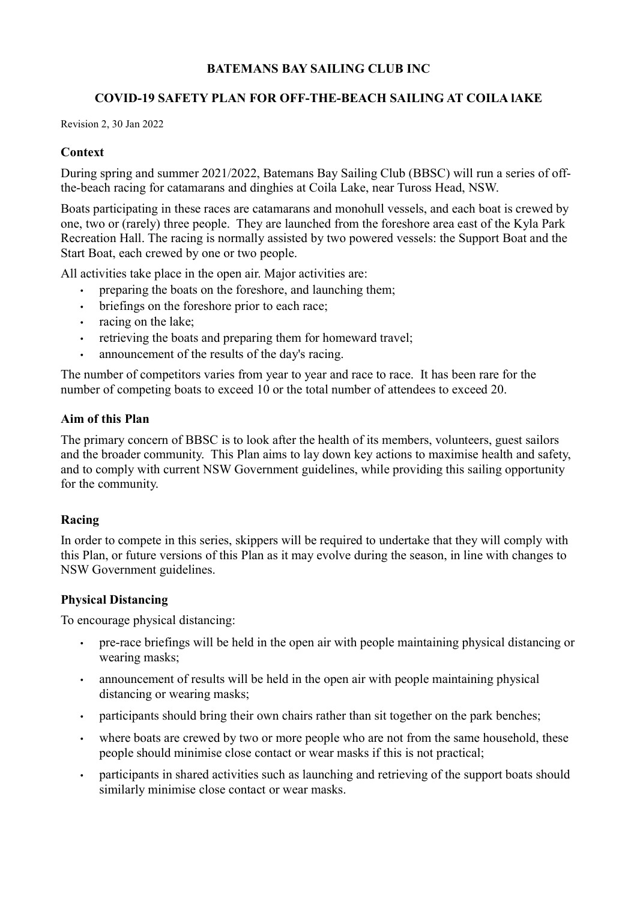# BATEMANS BAY SAILING CLUB INC

# COVID-19 SAFETY PLAN FOR OFF-THE-BEACH SAILING AT COILA lAKE

Revision 2, 30 Jan 2022

## **Context**

During spring and summer 2021/2022, Batemans Bay Sailing Club (BBSC) will run a series of offthe-beach racing for catamarans and dinghies at Coila Lake, near Tuross Head, NSW.

Boats participating in these races are catamarans and monohull vessels, and each boat is crewed by one, two or (rarely) three people. They are launched from the foreshore area east of the Kyla Park Recreation Hall. The racing is normally assisted by two powered vessels: the Support Boat and the Start Boat, each crewed by one or two people.

All activities take place in the open air. Major activities are:

- preparing the boats on the foreshore, and launching them;
- briefings on the foreshore prior to each race:
- racing on the lake;
- retrieving the boats and preparing them for homeward travel;
- announcement of the results of the day's racing.

The number of competitors varies from year to year and race to race. It has been rare for the number of competing boats to exceed 10 or the total number of attendees to exceed 20.

### Aim of this Plan

The primary concern of BBSC is to look after the health of its members, volunteers, guest sailors and the broader community. This Plan aims to lay down key actions to maximise health and safety, and to comply with current NSW Government guidelines, while providing this sailing opportunity for the community.

# Racing

In order to compete in this series, skippers will be required to undertake that they will comply with this Plan, or future versions of this Plan as it may evolve during the season, in line with changes to NSW Government guidelines.

#### Physical Distancing

To encourage physical distancing:

- pre-race briefings will be held in the open air with people maintaining physical distancing or wearing masks;
- announcement of results will be held in the open air with people maintaining physical distancing or wearing masks;
- participants should bring their own chairs rather than sit together on the park benches;
- where boats are crewed by two or more people who are not from the same household, these people should minimise close contact or wear masks if this is not practical;
- participants in shared activities such as launching and retrieving of the support boats should similarly minimise close contact or wear masks.